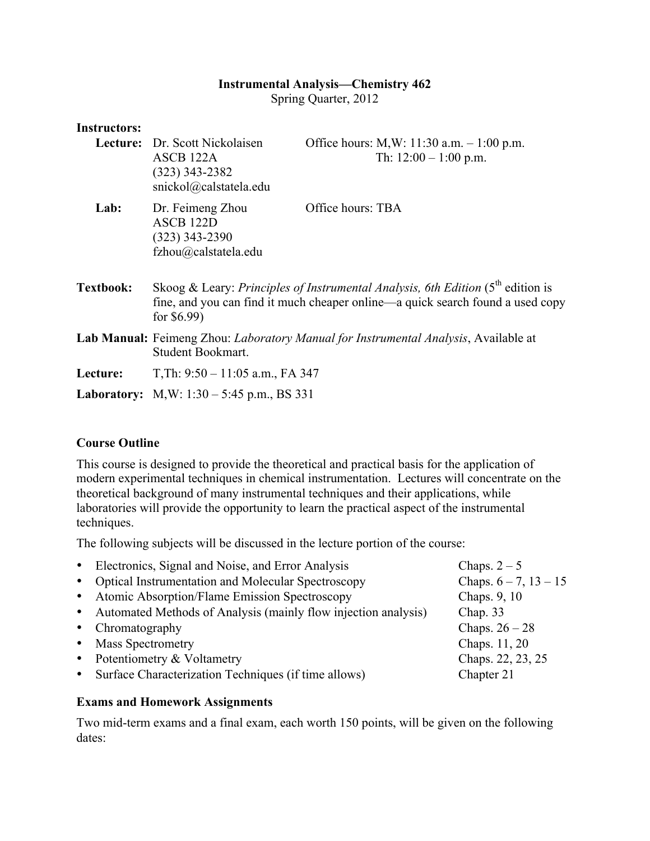### **Instrumental Analysis—Chemistry 462**

Spring Quarter, 2012

| mstructors.      |                                                                                                                                                                                      |                                                                        |  |
|------------------|--------------------------------------------------------------------------------------------------------------------------------------------------------------------------------------|------------------------------------------------------------------------|--|
|                  | Lecture: Dr. Scott Nickolaisen<br>ASCB 122A<br>$(323)$ 343-2382<br>snickol@calstatela.edu                                                                                            | Office hours: M, W: 11:30 a.m. $-1:00$ p.m.<br>Th: $12:00 - 1:00$ p.m. |  |
| Lab:             | Dr. Feimeng Zhou<br>ASCB <sub>122D</sub><br>$(323)$ 343-2390<br>fzhou@calstatela.edu                                                                                                 | Office hours: TBA                                                      |  |
| <b>Textbook:</b> | Skoog & Leary: Principles of Instrumental Analysis, 6th Edition $(5th$ edition is<br>fine, and you can find it much cheaper online—a quick search found a used copy<br>for $$6.99$ ) |                                                                        |  |
|                  | <b>Lab Manual:</b> Feimeng Zhou: <i>Laboratory Manual for Instrumental Analysis</i> , Available at<br>Student Bookmart.                                                              |                                                                        |  |
| Lecture:         | T, Th: $9:50 - 11:05$ a.m., FA 347                                                                                                                                                   |                                                                        |  |
|                  | <b>Laboratory:</b> M,W: $1:30 - 5:45$ p.m., BS 331                                                                                                                                   |                                                                        |  |

#### **Course Outline**

**Instructors:**

This course is designed to provide the theoretical and practical basis for the application of modern experimental techniques in chemical instrumentation. Lectures will concentrate on the theoretical background of many instrumental techniques and their applications, while laboratories will provide the opportunity to learn the practical aspect of the instrumental techniques.

The following subjects will be discussed in the lecture portion of the course:

|           | • Electronics, Signal and Noise, and Error Analysis              | Chaps. $2-5$               |
|-----------|------------------------------------------------------------------|----------------------------|
|           | • Optical Instrumentation and Molecular Spectroscopy             | Chaps. $6 - 7$ , $13 - 15$ |
|           | • Atomic Absorption/Flame Emission Spectroscopy                  | Chaps. 9, 10               |
|           | • Automated Methods of Analysis (mainly flow injection analysis) | Chap. $33$                 |
|           | • Chromatography                                                 | Chaps. $26-28$             |
| $\bullet$ | <b>Mass Spectrometry</b>                                         | Chaps. 11, 20              |
|           | • Potentiometry $&$ Voltametry                                   | Chaps. 22, 23, 25          |
|           | Surface Characterization Techniques (if time allows)             | Chapter 21                 |
|           |                                                                  |                            |

### **Exams and Homework Assignments**

Two mid-term exams and a final exam, each worth 150 points, will be given on the following dates: